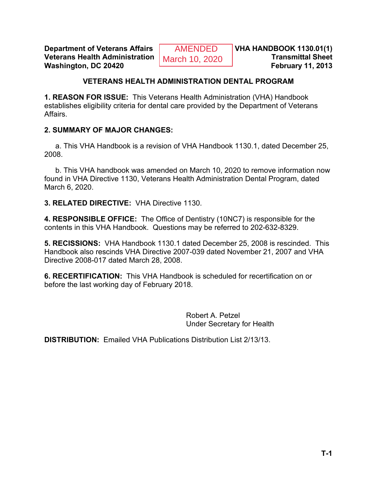**Department of Veterans Affairs** AMENDED **VHA HANDBOOK 1130.01(1)**<br>Veterans Health Administration March 10, 2020 **Veterans Health Administration Washington, DC 20420 February 11, 2013** 

### **VETERANS HEALTH ADMINISTRATION DENTAL PROGRAM**

**1. REASON FOR ISSUE:** This Veterans Health Administration (VHA) Handbook establishes eligibility criteria for dental care provided by the Department of Veterans Affairs.

#### **2. SUMMARY OF MAJOR CHANGES:**

a. This VHA Handbook is a revision of VHA Handbook 1130.1, dated December 25, 2008.

b. This VHA handbook was amended on March 10, 2020 to remove information now found in VHA Directive 1130, Veterans Health Administration Dental Program, dated March 6, 2020.

**3. RELATED DIRECTIVE:** VHA Directive 1130.

**4. RESPONSIBLE OFFICE:** The Office of Dentistry (10NC7) is responsible for the contents in this VHA Handbook. Questions may be referred to 202-632-8329.

**5. RECISSIONS:** VHA Handbook 1130.1 dated December 25, 2008 is rescinded. This Handbook also rescinds VHA Directive 2007-039 dated November 21, 2007 and VHA Directive 2008-017 dated March 28, 2008.

**6. RECERTIFICATION:** This VHA Handbook is scheduled for recertification on or before the last working day of February 2018.

> Robert A. Petzel Under Secretary for Health

**DISTRIBUTION:** Emailed VHA Publications Distribution List 2/13/13.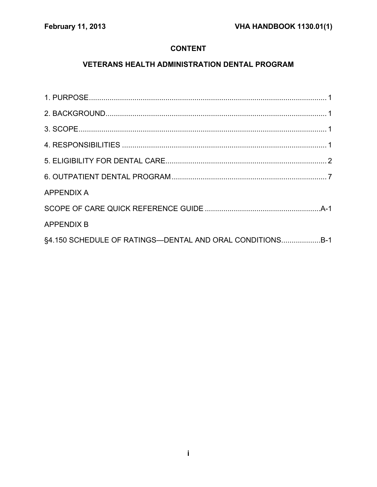## **CONTENT**

# **VETERANS HEALTH ADMINISTRATION DENTAL PROGRAM**

| <b>APPENDIX A</b>                                        |  |
|----------------------------------------------------------|--|
|                                                          |  |
| <b>APPENDIX B</b>                                        |  |
| §4.150 SCHEDULE OF RATINGS-DENTAL AND ORAL CONDITIONSB-1 |  |
|                                                          |  |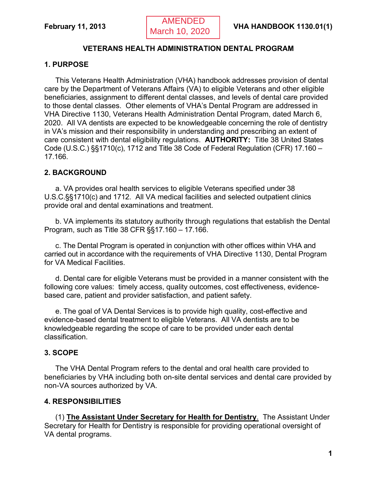## **VETERANS HEALTH ADMINISTRATION DENTAL PROGRAM**

## <span id="page-2-0"></span>**1. PURPOSE**

This Veterans Health Administration (VHA) handbook addresses provision of dental care by the Department of Veterans Affairs (VA) to eligible Veterans and other eligible beneficiaries, assignment to different dental classes, and levels of dental care provided to those dental classes. Other elements of VHA's Dental Program are addressed in VHA Directive 1130, Veterans Health Administration Dental Program, dated March 6, 2020. All VA dentists are expected to be knowledgeable concerning the role of dentistry in VA's mission and their responsibility in understanding and prescribing an extent of care consistent with dental eligibility regulations. **AUTHORITY:** Title 38 United States Code (U.S.C.) §§1710(c), 1712 and Title 38 Code of Federal Regulation (CFR) 17.160 – 17.166.

## <span id="page-2-1"></span>**2. BACKGROUND**

a. VA provides oral health services to eligible Veterans specified under 38 U.S.C.§§1710(c) and 1712. All VA medical facilities and selected outpatient clinics provide oral and dental examinations and treatment.

b. VA implements its statutory authority through regulations that establish the Dental Program, such as Title 38 CFR §§17.160 – 17.166.

c. The Dental Program is operated in conjunction with other offices within VHA and carried out in accordance with the requirements of VHA Directive 1130, Dental Program for VA Medical Facilities.

d. Dental care for eligible Veterans must be provided in a manner consistent with the following core values: timely access, quality outcomes, cost effectiveness, evidencebased care, patient and provider satisfaction, and patient safety.

e. The goal of VA Dental Services is to provide high quality, cost-effective and evidence-based dental treatment to eligible Veterans. All VA dentists are to be knowledgeable regarding the scope of care to be provided under each dental classification.

## <span id="page-2-2"></span>**3. SCOPE**

The VHA Dental Program refers to the dental and oral health care provided to beneficiaries by VHA including both on-site dental services and dental care provided by non-VA sources authorized by VA.

## <span id="page-2-3"></span>**4. RESPONSIBILITIES**

(1) **The Assistant Under Secretary for Health for Dentistry**. The Assistant Under Secretary for Health for Dentistry is responsible for providing operational oversight of VA dental programs.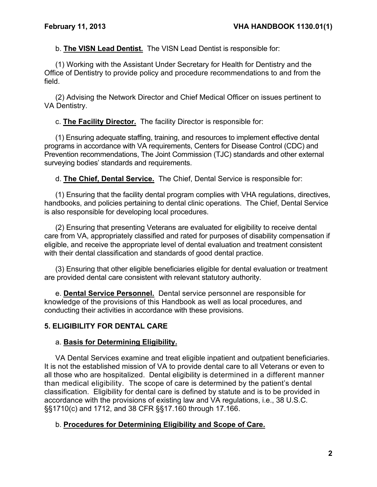b. **The VISN Lead Dentist.** The VISN Lead Dentist is responsible for:

(1) Working with the Assistant Under Secretary for Health for Dentistry and the Office of Dentistry to provide policy and procedure recommendations to and from the field.

(2) Advising the Network Director and Chief Medical Officer on issues pertinent to VA Dentistry.

c. **The Facility Director.** The facility Director is responsible for:

(1) Ensuring adequate staffing, training, and resources to implement effective dental programs in accordance with VA requirements, Centers for Disease Control (CDC) and Prevention recommendations, The Joint Commission (TJC) standards and other external surveying bodies' standards and requirements.

d. **The Chief, Dental Service.** The Chief, Dental Service is responsible for:

(1) Ensuring that the facility dental program complies with VHA regulations, directives, handbooks, and policies pertaining to dental clinic operations. The Chief, Dental Service is also responsible for developing local procedures.

(2) Ensuring that presenting Veterans are evaluated for eligibility to receive dental care from VA, appropriately classified and rated for purposes of disability compensation if eligible, and receive the appropriate level of dental evaluation and treatment consistent with their dental classification and standards of good dental practice.

(3) Ensuring that other eligible beneficiaries eligible for dental evaluation or treatment are provided dental care consistent with relevant statutory authority.

e. **Dental Service Personnel.** Dental service personnel are responsible for knowledge of the provisions of this Handbook as well as local procedures, and conducting their activities in accordance with these provisions.

## <span id="page-3-0"></span>**5. ELIGIBILITY FOR DENTAL CARE**

## a. **Basis for Determining Eligibility.**

VA Dental Services examine and treat eligible inpatient and outpatient beneficiaries. It is not the established mission of VA to provide dental care to all Veterans or even to all those who are hospitalized. Dental eligibility is determined in a different manner than medical eligibility. The scope of care is determined by the patient's dental classification. Eligibility for dental care is defined by statute and is to be provided in accordance with the provisions of existing law and VA regulations, i.e., 38 U.S.C. §§1710(c) and 1712, and 38 CFR §§17.160 through 17.166.

## b. **Procedures for Determining Eligibility and Scope of Care.**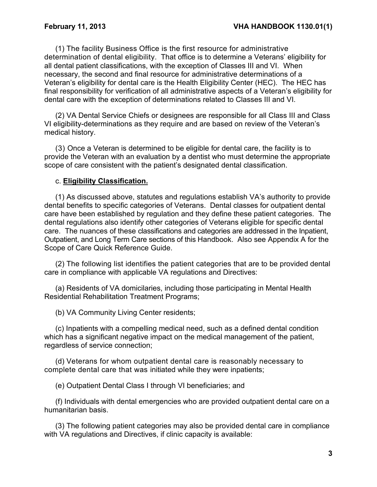(1) The facility Business Office is the first resource for administrative determination of dental eligibility. That office is to determine a Veterans' eligibility for all dental patient classifications, with the exception of Classes III and VI. When necessary, the second and final resource for administrative determinations of a Veteran's eligibility for dental care is the Health Eligibility Center (HEC). The HEC has final responsibility for verification of all administrative aspects of a Veteran's eligibility for dental care with the exception of determinations related to Classes III and VI.

(2) VA Dental Service Chiefs or designees are responsible for all Class III and Class VI eligibility-determinations as they require and are based on review of the Veteran's medical history.

(3) Once a Veteran is determined to be eligible for dental care, the facility is to provide the Veteran with an evaluation by a dentist who must determine the appropriate scope of care consistent with the patient's designated dental classification.

#### c. **Eligibility Classification.**

(1) As discussed above, statutes and regulations establish VA's authority to provide dental benefits to specific categories of Veterans. Dental classes for outpatient dental care have been established by regulation and they define these patient categories. The dental regulations also identify other categories of Veterans eligible for specific dental care. The nuances of these classifications and categories are addressed in the Inpatient, Outpatient, and Long Term Care sections of this Handbook. Also see Appendix A for the Scope of Care Quick Reference Guide.

(2) The following list identifies the patient categories that are to be provided dental care in compliance with applicable VA regulations and Directives:

(a) Residents of VA domicilaries, including those participating in Mental Health Residential Rehabilitation Treatment Programs;

(b) VA Community Living Center residents;

(c) Inpatients with a compelling medical need, such as a defined dental condition which has a significant negative impact on the medical management of the patient, regardless of service connection;

(d) Veterans for whom outpatient dental care is reasonably necessary to complete dental care that was initiated while they were inpatients;

(e) Outpatient Dental Class I through VI beneficiaries; and

(f) Individuals with dental emergencies who are provided outpatient dental care on a humanitarian basis.

(3) The following patient categories may also be provided dental care in compliance with VA regulations and Directives, if clinic capacity is available: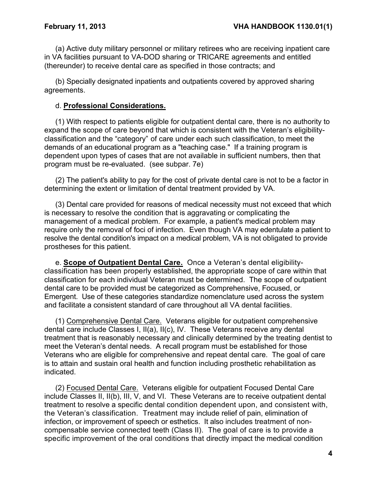(a) Active duty military personnel or military retirees who are receiving inpatient care in VA facilities pursuant to VA-DOD sharing or TRICARE agreements and entitled (thereunder) to receive dental care as specified in those contracts; and

(b) Specially designated inpatients and outpatients covered by approved sharing agreements.

#### d. **Professional Considerations.**

(1) With respect to patients eligible for outpatient dental care, there is no authority to expand the scope of care beyond that which is consistent with the Veteran's eligibilityclassification and the "category" of care under each such classification, to meet the demands of an educational program as a "teaching case." If a training program is dependent upon types of cases that are not available in sufficient numbers, then that program must be re-evaluated. (see subpar. 7e)

(2) The patient's ability to pay for the cost of private dental care is not to be a factor in determining the extent or limitation of dental treatment provided by VA.

(3) Dental care provided for reasons of medical necessity must not exceed that which is necessary to resolve the condition that is aggravating or complicating the management of a medical problem. For example, a patient's medical problem may require only the removal of foci of infection. Even though VA may edentulate a patient to resolve the dental condition's impact on a medical problem, VA is not obligated to provide prostheses for this patient.

e. **Scope of Outpatient Dental Care.** Once a Veteran's dental eligibilityclassification has been properly established, the appropriate scope of care within that classification for each individual Veteran must be determined. The scope of outpatient dental care to be provided must be categorized as Comprehensive, Focused, or Emergent. Use of these categories standardize nomenclature used across the system and facilitate a consistent standard of care throughout all VA dental facilities.

(1) Comprehensive Dental Care. Veterans eligible for outpatient comprehensive dental care include Classes I, II(a), II(c), IV. These Veterans receive any dental treatment that is reasonably necessary and clinically determined by the treating dentist to meet the Veteran's dental needs. A recall program must be established for those Veterans who are eligible for comprehensive and repeat dental care. The goal of care is to attain and sustain oral health and function including prosthetic rehabilitation as indicated.

(2) Focused Dental Care. Veterans eligible for outpatient Focused Dental Care include Classes II, II(b), III, V, and VI. These Veterans are to receive outpatient dental treatment to resolve a specific dental condition dependent upon, and consistent with, the Veteran's classification. Treatment may include relief of pain, elimination of infection, or improvement of speech or esthetics. It also includes treatment of noncompensable service connected teeth (Class II). The goal of care is to provide a specific improvement of the oral conditions that directly impact the medical condition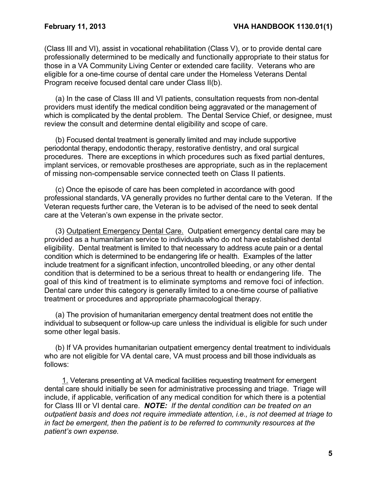(Class III and VI), assist in vocational rehabilitation (Class V), or to provide dental care professionally determined to be medically and functionally appropriate to their status for those in a VA Community Living Center or extended care facility. Veterans who are eligible for a one-time course of dental care under the Homeless Veterans Dental Program receive focused dental care under Class II(b).

(a) In the case of Class III and VI patients, consultation requests from non-dental providers must identify the medical condition being aggravated or the management of which is complicated by the dental problem. The Dental Service Chief, or designee, must review the consult and determine dental eligibility and scope of care.

(b) Focused dental treatment is generally limited and may include supportive periodontal therapy, endodontic therapy, restorative dentistry, and oral surgical procedures. There are exceptions in which procedures such as fixed partial dentures, implant services, or removable prostheses are appropriate, such as in the replacement of missing non-compensable service connected teeth on Class II patients.

(c) Once the episode of care has been completed in accordance with good professional standards, VA generally provides no further dental care to the Veteran. If the Veteran requests further care, the Veteran is to be advised of the need to seek dental care at the Veteran's own expense in the private sector.

(3) Outpatient Emergency Dental Care. Outpatient emergency dental care may be provided as a humanitarian service to individuals who do not have established dental eligibility. Dental treatment is limited to that necessary to address acute pain or a dental condition which is determined to be endangering life or health. Examples of the latter include treatment for a significant infection, uncontrolled bleeding, or any other dental condition that is determined to be a serious threat to health or endangering life. The goal of this kind of treatment is to eliminate symptoms and remove foci of infection. Dental care under this category is generally limited to a one-time course of palliative treatment or procedures and appropriate pharmacological therapy.

(a) The provision of humanitarian emergency dental treatment does not entitle the individual to subsequent or follow-up care unless the individual is eligible for such under some other legal basis.

(b) If VA provides humanitarian outpatient emergency dental treatment to individuals who are not eligible for VA dental care, VA must process and bill those individuals as follows:

1. Veterans presenting at VA medical facilities requesting treatment for emergent dental care should initially be seen for administrative processing and triage. Triage will include, if applicable, verification of any medical condition for which there is a potential for Class III or VI dental care. *NOTE: If the dental condition can be treated on an outpatient basis and does not require immediate attention, i.e., is not deemed at triage to in fact be emergent, then the patient is to be referred to community resources at the patient's own expense.*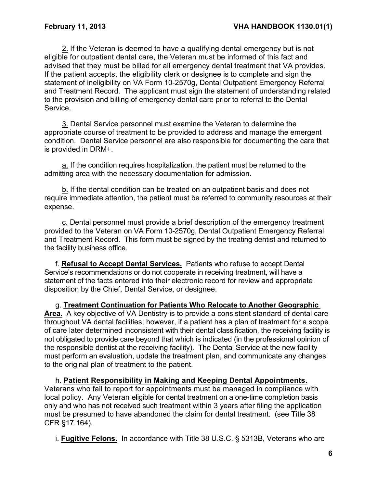2. If the Veteran is deemed to have a qualifying dental emergency but is not eligible for outpatient dental care, the Veteran must be informed of this fact and advised that they must be billed for all emergency dental treatment that VA provides. If the patient accepts, the eligibility clerk or designee is to complete and sign the statement of ineligibility on VA Form 10-2570g, Dental Outpatient Emergency Referral and Treatment Record. The applicant must sign the statement of understanding related to the provision and billing of emergency dental care prior to referral to the Dental Service.

3. Dental Service personnel must examine the Veteran to determine the appropriate course of treatment to be provided to address and manage the emergent condition. Dental Service personnel are also responsible for documenting the care that is provided in DRM+.

a. If the condition requires hospitalization, the patient must be returned to the admitting area with the necessary documentation for admission.

b. If the dental condition can be treated on an outpatient basis and does not require immediate attention, the patient must be referred to community resources at their expense.

c. Dental personnel must provide a brief description of the emergency treatment provided to the Veteran on VA Form 10-2570g, Dental Outpatient Emergency Referral and Treatment Record. This form must be signed by the treating dentist and returned to the facility business office.

f. **Refusal to Accept Dental Services.** Patients who refuse to accept Dental Service's recommendations or do not cooperate in receiving treatment, will have a statement of the facts entered into their electronic record for review and appropriate disposition by the Chief, Dental Service, or designee.

g. **Treatment Continuation for Patients Who Relocate to Another Geographic Area.** A key objective of VA Dentistry is to provide a consistent standard of dental care throughout VA dental facilities; however, if a patient has a plan of treatment for a scope of care later determined inconsistent with their dental classification, the receiving facility is not obligated to provide care beyond that which is indicated (in the professional opinion of the responsible dentist at the receiving facility). The Dental Service at the new facility must perform an evaluation, update the treatment plan, and communicate any changes to the original plan of treatment to the patient.

h. **Patient Responsibility in Making and Keeping Dental Appointments.**  Veterans who fail to report for appointments must be managed in compliance with local policy.Any Veteran eligible for dental treatment on a one-time completion basis only and who has not received such treatment within 3 years after filing the application must be presumed to have abandoned the claim for dental treatment. (see Title 38 CFR §17.164).

i. **Fugitive Felons.** In accordance with Title 38 U.S.C. § 5313B, Veterans who are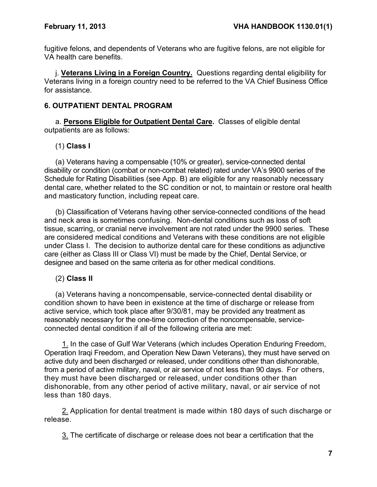fugitive felons, and dependents of Veterans who are fugitive felons, are not eligible for VA health care benefits.

j. **Veterans Living in a Foreign Country.** Questions regarding dental eligibility for Veterans living in a foreign country need to be referred to the VA Chief Business Office for assistance.

## <span id="page-8-0"></span>**6. OUTPATIENT DENTAL PROGRAM**

a. **Persons Eligible for Outpatient Dental Care.** Classes of eligible dental outpatients are as follows:

## (1) **Class I**

(a) Veterans having a compensable (10% or greater), service-connected dental disability or condition (combat or non-combat related) rated under VA's 9900 series of the Schedule for Rating Disabilities (see App. B) are eligible for any reasonably necessary dental care, whether related to the SC condition or not, to maintain or restore oral health and masticatory function, including repeat care.

(b) Classification of Veterans having other service-connected conditions of the head and neck area is sometimes confusing. Non-dental conditions such as loss of soft tissue, scarring, or cranial nerve involvement are not rated under the 9900 series. These are considered medical conditions and Veterans with these conditions are not eligible under Class I. The decision to authorize dental care for these conditions as adjunctive care (either as Class III or Class VI) must be made by the Chief, Dental Service, or designee and based on the same criteria as for other medical conditions.

## (2) **Class II**

(a) Veterans having a noncompensable, service-connected dental disability or condition shown to have been in existence at the time of discharge or release from active service, which took place after 9/30/81, may be provided any treatment as reasonably necessary for the one-time correction of the noncompensable, serviceconnected dental condition if all of the following criteria are met:

1. In the case of Gulf War Veterans (which includes Operation Enduring Freedom, Operation Iraqi Freedom, and Operation New Dawn Veterans), they must have served on active duty and been discharged or released, under conditions other than dishonorable, from a period of active military, naval, or air service of not less than 90 days. For others, they must have been discharged or released, under conditions other than dishonorable, from any other period of active military, naval, or air service of not less than 180 days.

2. Application for dental treatment is made within 180 days of such discharge or release.

3. The certificate of discharge or release does not bear a certification that the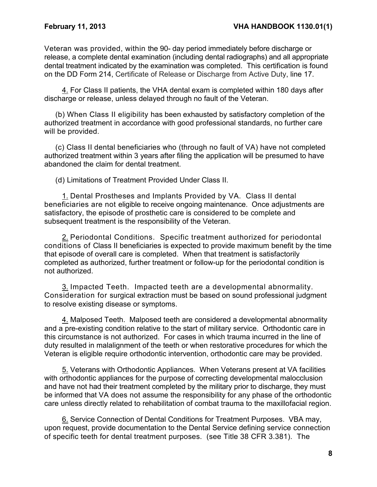Veteran was provided, within the 90- day period immediately before discharge or release, a complete dental examination (including dental radiographs) and all appropriate dental treatment indicated by the examination was completed. This certification is found on the DD Form 214, Certificate of Release or Discharge from Active Duty, line 17.

4. For Class II patients, the VHA dental exam is completed within 180 days after discharge or release, unless delayed through no fault of the Veteran.

(b) When Class II eligibility has been exhausted by satisfactory completion of the authorized treatment in accordance with good professional standards, no further care will be provided.

(c) Class II dental beneficiaries who (through no fault of VA) have not completed authorized treatment within 3 years after filing the application will be presumed to have abandoned the claim for dental treatment.

(d) Limitations of Treatment Provided Under Class II.

1. Dental Prostheses and Implants Provided by VA. Class II dental beneficiaries are not eligible to receive ongoing maintenance. Once adjustments are satisfactory, the episode of prosthetic care is considered to be complete and subsequent treatment is the responsibility of the Veteran.

2. Periodontal Conditions. Specific treatment authorized for periodontal conditions of Class II beneficiaries is expected to provide maximum benefit by the time that episode of overall care is completed. When that treatment is satisfactorily completed as authorized, further treatment or follow-up for the periodontal condition is not authorized.

3. Impacted Teeth. Impacted teeth are a developmental abnormality. Consideration for surgical extraction must be based on sound professional judgment to resolve existing disease or symptoms.

4. Malposed Teeth. Malposed teeth are considered a developmental abnormality and a pre-existing condition relative to the start of military service. Orthodontic care in this circumstance is not authorized. For cases in which trauma incurred in the line of duty resulted in malalignment of the teeth or when restorative procedures for which the Veteran is eligible require orthodontic intervention, orthodontic care may be provided.

5. Veterans with Orthodontic Appliances. When Veterans present at VA facilities with orthodontic appliances for the purpose of correcting developmental malocclusion and have not had their treatment completed by the military prior to discharge, they must be informed that VA does not assume the responsibility for any phase of the orthodontic care unless directly related to rehabilitation of combat trauma to the maxillofacial region.

6. Service Connection of Dental Conditions for Treatment Purposes. VBA may, upon request, provide documentation to the Dental Service defining service connection of specific teeth for dental treatment purposes. (see Title 38 CFR 3.381). The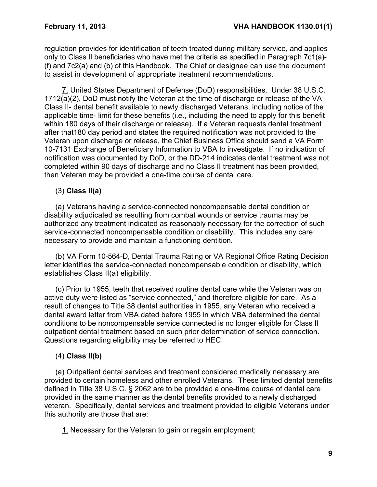regulation provides for identification of teeth treated during military service, and applies only to Class II beneficiaries who have met the criteria as specified in Paragraph 7c1(a)- (f) and 7c2(a) and (b) of this Handbook. The Chief or designee can use the document to assist in development of appropriate treatment recommendations.

7. United States Department of Defense (DoD) responsibilities. Under 38 U.S.C. 1712(a)(2), DoD must notify the Veteran at the time of discharge or release of the VA Class II- dental benefit available to newly discharged Veterans, including notice of the applicable time- limit for these benefits (i.e., including the need to apply for this benefit within 180 days of their discharge or release). If a Veteran requests dental treatment after that180 day period and states the required notification was not provided to the Veteran upon discharge or release, the Chief Business Office should send a VA Form 10-7131 Exchange of Beneficiary Information to VBA to investigate. If no indication of notification was documented by DoD, or the DD-214 indicates dental treatment was not completed within 90 days of discharge and no Class II treatment has been provided, then Veteran may be provided a one-time course of dental care.

## (3) **Class II(a)**

(a) Veterans having a service-connected noncompensable dental condition or disability adjudicated as resulting from combat wounds or service trauma may be authorized any treatment indicated as reasonably necessary for the correction of such service-connected noncompensable condition or disability. This includes any care necessary to provide and maintain a functioning dentition.

(b) VA Form 10-564-D, Dental Trauma Rating or VA Regional Office Rating Decision letter identifies the service-connected noncompensable condition or disability, which establishes Class II(a) eligibility.

(c) Prior to 1955, teeth that received routine dental care while the Veteran was on active duty were listed as "service connected," and therefore eligible for care. As a result of changes to Title 38 dental authorities in 1955, any Veteran who received a dental award letter from VBA dated before 1955 in which VBA determined the dental conditions to be noncompensable service connected is no longer eligible for Class II outpatient dental treatment based on such prior determination of service connection. Questions regarding eligibility may be referred to HEC.

## (4) **Class II(b)**

(a) Outpatient dental services and treatment considered medically necessary are provided to certain homeless and other enrolled Veterans. These limited dental benefits defined in Title 38 U.S.C. § 2062 are to be provided a one-time course of dental care provided in the same manner as the dental benefits provided to a newly discharged veteran. Specifically, dental services and treatment provided to eligible Veterans under this authority are those that are:

1. Necessary for the Veteran to gain or regain employment;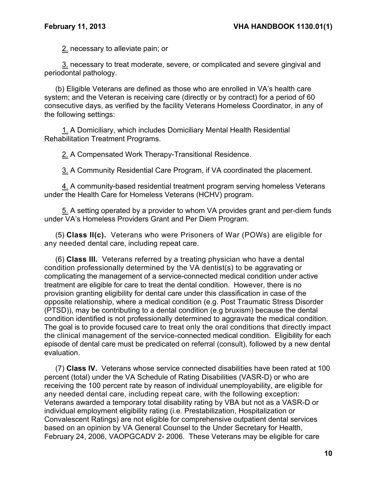2. necessary to alleviate pain; or

3. necessary to treat moderate, severe, or complicated and severe gingival and periodontal pathology.

(b) Eligible Veterans are defined as those who are enrolled in VA's health care system; and the Veteran is receiving care (directly or by contract) for a period of 60 consecutive days, as verified by the facility Veterans Homeless Coordinator, in any of the following settings:

1. A Domiciliary, which includes Domiciliary Mental Health Residential Rehabilitation Treatment Programs.

2. A Compensated Work Therapy-Transitional Residence.

3. A Community Residential Care Program, if VA coordinated the placement.

4. A community-based residential treatment program serving homeless Veterans under the Health Care for Homeless Veterans (HCHV) program.

5. A setting operated by a provider to whom VA provides grant and per-diem funds under VA's Homeless Providers Grant and Per Diem Program.

(5) **Class II(c).** Veterans who were Prisoners of War (POWs) are eligible for any needed dental care, including repeat care.

(6) **Class III.** Veterans referred by a treating physician who have a dental condition professionally determined by the VA dentist(s) to be aggravating or complicating the management of a service-connected medical condition under active treatment are eligible for care to treat the dental condition. However, there is no provision granting eligibility for dental care under this classification in case of the opposite relationship, where a medical condition (e.g. Post Traumatic Stress Disorder (PTSD)), may be contributing to a dental condition (e.g bruxism) because the dental condition identified is not professionally determined to aggravate the medical condition. The goal is to provide focused care to treat only the oral conditions that directly impact the clinical management of the service-connected medical condition. Eligibility for each episode of dental care must be predicated on referral (consult), followed by a new dental evaluation.

(7) **Class IV.** Veterans whose service connected disabilities have been rated at 100 percent (total) under the VA Schedule of Rating Disabilities (VASR-D) or who are receiving the 100 percent rate by reason of individual unemployability, are eligible for any needed dental care, including repeat care, with the following exception: Veterans awarded a temporary total disability rating by VBA but not as a VASR-D or individual employment eligibility rating (i.e. Prestabilization, Hospitalization or Convalescent Ratings) are not eligible for comprehensive outpatient dental services based on an opinion by VA General Counsel to the Under Secretary for Health, February 24, 2006, VAOPGCADV 2- 2006. These Veterans may be eligible for care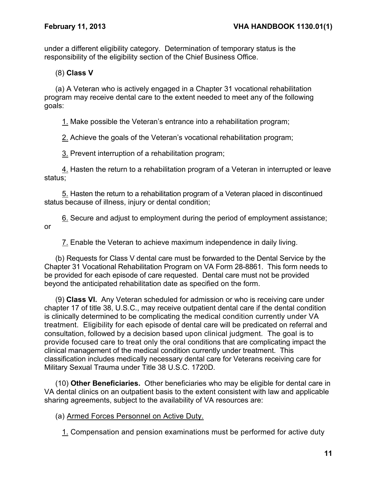under a different eligibility category. Determination of temporary status is the responsibility of the eligibility section of the Chief Business Office.

(8) **Class V**

(a) A Veteran who is actively engaged in a Chapter 31 vocational rehabilitation program may receive dental care to the extent needed to meet any of the following goals:

1. Make possible the Veteran's entrance into a rehabilitation program;

2. Achieve the goals of the Veteran's vocational rehabilitation program;

3. Prevent interruption of a rehabilitation program;

4. Hasten the return to a rehabilitation program of a Veteran in interrupted or leave status;

5. Hasten the return to a rehabilitation program of a Veteran placed in discontinued status because of illness, injury or dental condition;

6. Secure and adjust to employment during the period of employment assistance; or

7. Enable the Veteran to achieve maximum independence in daily living.

(b) Requests for Class V dental care must be forwarded to the Dental Service by the Chapter 31 Vocational Rehabilitation Program on VA Form 28-8861. This form needs to be provided for each episode of care requested. Dental care must not be provided beyond the anticipated rehabilitation date as specified on the form.

(9) **Class VI.** Any Veteran scheduled for admission or who is receiving care under chapter 17 of title 38, U.S.C., may receive outpatient dental care if the dental condition is clinically determined to be complicating the medical condition currently under VA treatment. Eligibility for each episode of dental care will be predicated on referral and consultation, followed by a decision based upon clinical judgment. The goal is to provide focused care to treat only the oral conditions that are complicating impact the clinical management of the medical condition currently under treatment. This classification includes medically necessary dental care for Veterans receiving care for Military Sexual Trauma under Title 38 U.S.C. 1720D.

(10) **Other Beneficiaries.** Other beneficiaries who may be eligible for dental care in VA dental clinics on an outpatient basis to the extent consistent with law and applicable sharing agreements, subject to the availability of VA resources are:

(a) Armed Forces Personnel on Active Duty.

1. Compensation and pension examinations must be performed for active duty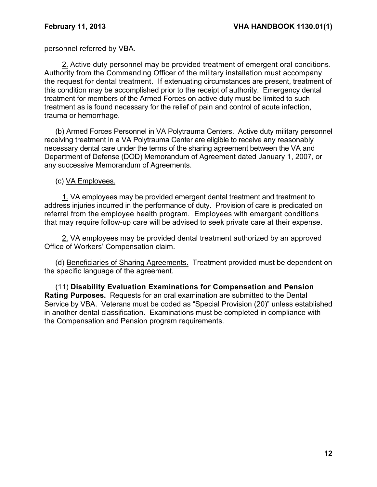personnel referred by VBA.

2. Active duty personnel may be provided treatment of emergent oral conditions. Authority from the Commanding Officer of the military installation must accompany the request for dental treatment. If extenuating circumstances are present, treatment of this condition may be accomplished prior to the receipt of authority. Emergency dental treatment for members of the Armed Forces on active duty must be limited to such treatment as is found necessary for the relief of pain and control of acute infection, trauma or hemorrhage.

(b) Armed Forces Personnel in VA Polytrauma Centers. Active duty military personnel receiving treatment in a VA Polytrauma Center are eligible to receive any reasonably necessary dental care under the terms of the sharing agreement between the VA and Department of Defense (DOD) Memorandum of Agreement dated January 1, 2007, or any successive Memorandum of Agreements.

### (c) VA Employees.

1. VA employees may be provided emergent dental treatment and treatment to address injuries incurred in the performance of duty. Provision of care is predicated on referral from the employee health program. Employees with emergent conditions that may require follow-up care will be advised to seek private care at their expense.

2. VA employees may be provided dental treatment authorized by an approved Office of Workers' Compensation claim.

(d) Beneficiaries of Sharing Agreements. Treatment provided must be dependent on the specific language of the agreement.

(11) **Disability Evaluation Examinations for Compensation and Pension Rating Purposes.** Requests for an oral examination are submitted to the Dental Service by VBA. Veterans must be coded as "Special Provision (20)" unless established in another dental classification. Examinations must be completed in compliance with the Compensation and Pension program requirements.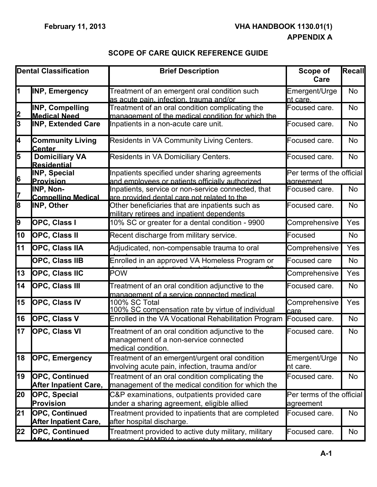## **SCOPE OF CARE QUICK REFERENCE GUIDE**

<span id="page-14-1"></span><span id="page-14-0"></span>

|                | <b>Dental Classification</b>                          | <b>Brief Description</b>                                                                                        | Scope of<br>Care                       | Recall    |
|----------------|-------------------------------------------------------|-----------------------------------------------------------------------------------------------------------------|----------------------------------------|-----------|
|                | <b>INP, Emergency</b>                                 | Treatment of an emergent oral condition such<br>as acute pain, infection, trauma and/or                         | Emergent/Urge<br>nt care.              | <b>No</b> |
| 2              | <b>INP, Compelling</b><br><b>Medical Need</b>         | Treatment of an oral condition complicating the<br>management of the medical condition for which the            | Focused care.                          | <b>No</b> |
| $\overline{3}$ | <b>INP, Extended Care</b>                             | Inpatients in a non-acute care unit.                                                                            | Focused care.                          | No        |
| 4              | <b>Community Living</b><br><b>Center</b>              | Residents in VA Community Living Centers.                                                                       | Focused care.                          | <b>No</b> |
| 5              | <b>Domiciliary VA</b><br><b>Residential</b>           | Residents in VA Domiciliary Centers.                                                                            | Focused care.                          | <b>No</b> |
| 6              | <b>INP, Special</b><br><b>Provision</b>               | Inpatients specified under sharing agreements<br>and employees or patients officially authorized                | Per terms of the official<br>agreement |           |
| 17             | INP, Non-<br><b>Compelling Medical</b>                | Inpatients, service or non-service connected, that<br>are provided dental care not related to the               | Focused care.                          | No        |
| 8              | <b>INP, Other</b>                                     | Other beneficiaries that are inpatients such as<br>military retirees and inpatient dependents                   | Focused care.                          | No        |
| 9              | OPC, Class I                                          | 10% SC or greater for a dental condition - 9900                                                                 | Comprehensive                          | Yes       |
| 10             | <b>OPC, Class II</b>                                  | Recent discharge from military service.                                                                         | Focused                                | No        |
| 11             | OPC, Class IIA                                        | Adjudicated, non-compensable trauma to oral                                                                     | Comprehensive                          | Yes       |
|                | OPC, Class IIB                                        | Enrolled in an approved VA Homeless Program or                                                                  | <b>Focused care</b>                    | <b>No</b> |
| 13             | <b>OPC, Class IIC</b>                                 | <b>POW</b>                                                                                                      | Comprehensive                          | Yes       |
| 14             | <b>OPC, Class III</b>                                 | Treatment of an oral condition adjunctive to the<br>management of a service connected medical                   | Focused care.                          | No        |
| 15             | <b>OPC, Class IV</b>                                  | 100% SC Total<br>100% SC compensation rate by virtue of individual                                              | Comprehensive<br>care                  | Yes       |
| 16             | <b>OPC, Class V</b>                                   | Enrolled in the VA Vocational Rehabilitation Program                                                            | Focused care.                          | No        |
| 17             | <b>OPC, Class VI</b>                                  | Treatment of an oral condition adjunctive to the<br>management of a non-service connected<br>medical condition. | Focused care.                          | No        |
| 18             | <b>OPC, Emergency</b>                                 | Treatment of an emergent/urgent oral condition<br>involving acute pain, infection, trauma and/or                | Emergent/Urge<br>nt care.              | No        |
| 19             | <b>OPC, Continued</b><br><b>After Inpatient Care,</b> | Treatment of an oral condition complicating the<br>management of the medical condition for which the            | Focused care.                          | <b>No</b> |
| 20             | <b>OPC, Special</b><br><b>Provision</b>               | C&P examinations, outpatients provided care<br>under a sharing agreement, eligible allied                       | Per terms of the official<br>agreement |           |
| 21             | <b>OPC, Continued</b><br><b>After Inpatient Care,</b> | Treatment provided to inpatients that are completed<br>after hospital discharge.                                | Focused care.                          | No        |
| 22             | <b>OPC, Continued</b><br><u>Aftar Innationi</u>       | Treatment provided to active duty military, military<br>otiroge CHAMDVA inpotients that are completed           | Focused care.                          | No        |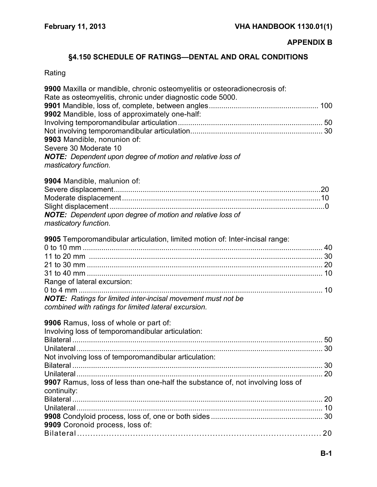## **APPENDIX B**

## <span id="page-15-0"></span>**§4.150 SCHEDULE OF RATINGS—DENTAL AND ORAL CONDITIONS**

# <span id="page-15-1"></span>Rating

| 9900 Maxilla or mandible, chronic osteomyelitis or osteoradionecrosis of:<br>Rate as osteomyelitis, chronic under diagnostic code 5000. |  |
|-----------------------------------------------------------------------------------------------------------------------------------------|--|
|                                                                                                                                         |  |
| 9902 Mandible, loss of approximately one-half:                                                                                          |  |
|                                                                                                                                         |  |
|                                                                                                                                         |  |
| 9903 Mandible, nonunion of:                                                                                                             |  |
| Severe 30 Moderate 10                                                                                                                   |  |
| <b>NOTE:</b> Dependent upon degree of motion and relative loss of                                                                       |  |
| masticatory function.                                                                                                                   |  |
| 9904 Mandible, malunion of:                                                                                                             |  |
|                                                                                                                                         |  |
|                                                                                                                                         |  |
|                                                                                                                                         |  |
| NOTE: Dependent upon degree of motion and relative loss of<br>masticatory function.                                                     |  |
| 9905 Temporomandibular articulation, limited motion of: Inter-incisal range:                                                            |  |
|                                                                                                                                         |  |
|                                                                                                                                         |  |
|                                                                                                                                         |  |
|                                                                                                                                         |  |
| Range of lateral excursion:                                                                                                             |  |
|                                                                                                                                         |  |
| <b>NOTE:</b> Ratings for limited inter-incisal movement must not be                                                                     |  |
| combined with ratings for limited lateral excursion.                                                                                    |  |
| 9906 Ramus, loss of whole or part of:                                                                                                   |  |
| Involving loss of temporomandibular articulation:                                                                                       |  |
|                                                                                                                                         |  |
|                                                                                                                                         |  |
| Not involving loss of temporomandibular articulation:                                                                                   |  |
|                                                                                                                                         |  |
| 9907 Ramus, loss of less than one-half the substance of, not involving loss of                                                          |  |
| continuity:                                                                                                                             |  |
|                                                                                                                                         |  |
|                                                                                                                                         |  |
|                                                                                                                                         |  |
| 9909 Coronoid process, loss of:                                                                                                         |  |
|                                                                                                                                         |  |
|                                                                                                                                         |  |